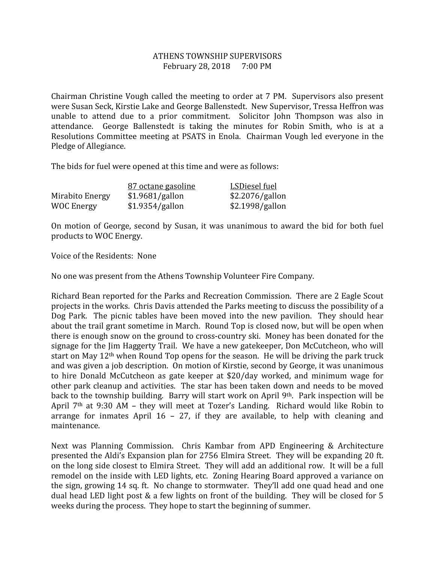## ATHENS TOWNSHIP SUPERVISORS February 28, 2018 7:00 PM

Chairman Christine Vough called the meeting to order at 7 PM. Supervisors also present were Susan Seck, Kirstie Lake and George Ballenstedt. New Supervisor, Tressa Heffron was unable to attend due to a prior commitment. Solicitor John Thompson was also in attendance. George Ballenstedt is taking the minutes for Robin Smith, who is at a Resolutions Committee meeting at PSATS in Enola. Chairman Vough led everyone in the Pledge of Allegiance.

The bids for fuel were opened at this time and were as follows:

|                 | 87 octane gasoline | LSDiesel fuel   |
|-----------------|--------------------|-----------------|
| Mirabito Energy | \$1.9681/gallon    | \$2.2076/gallon |
| WOC Energy      | \$1.9354/gallon    | \$2.1998/gallon |

On motion of George, second by Susan, it was unanimous to award the bid for both fuel products to WOC Energy.

Voice of the Residents: None

No one was present from the Athens Township Volunteer Fire Company.

Richard Bean reported for the Parks and Recreation Commission. There are 2 Eagle Scout projects in the works. Chris Davis attended the Parks meeting to discuss the possibility of a Dog Park. The picnic tables have been moved into the new pavilion. They should hear about the trail grant sometime in March. Round Top is closed now, but will be open when there is enough snow on the ground to cross-country ski. Money has been donated for the signage for the Jim Haggerty Trail. We have a new gatekeeper, Don McCutcheon, who will start on May 12<sup>th</sup> when Round Top opens for the season. He will be driving the park truck and was given a job description. On motion of Kirstie, second by George, it was unanimous to hire Donald McCutcheon as gate keeper at \$20/day worked, and minimum wage for other park cleanup and activities. The star has been taken down and needs to be moved back to the township building. Barry will start work on April 9<sup>th</sup>. Park inspection will be April 7th at 9:30 AM – they will meet at Tozer's Landing. Richard would like Robin to arrange for inmates April 16 – 27, if they are available, to help with cleaning and maintenance.

Next was Planning Commission. Chris Kambar from APD Engineering & Architecture presented the Aldi's Expansion plan for 2756 Elmira Street. They will be expanding 20 ft. on the long side closest to Elmira Street. They will add an additional row. It will be a full remodel on the inside with LED lights, etc. Zoning Hearing Board approved a variance on the sign, growing 14 sq. ft. No change to stormwater. They'll add one quad head and one dual head LED light post & a few lights on front of the building. They will be closed for 5 weeks during the process. They hope to start the beginning of summer.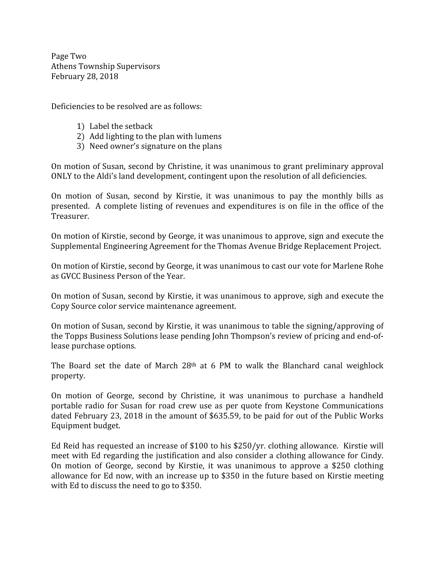Page Two Athens Township Supervisors February 28, 2018

Deficiencies to be resolved are as follows:

- 1) Label the setback
- 2) Add lighting to the plan with lumens
- 3) Need owner's signature on the plans

On motion of Susan, second by Christine, it was unanimous to grant preliminary approval ONLY to the Aldi's land development, contingent upon the resolution of all deficiencies.

On motion of Susan, second by Kirstie, it was unanimous to pay the monthly bills as presented. A complete listing of revenues and expenditures is on file in the office of the Treasurer.

On motion of Kirstie, second by George, it was unanimous to approve, sign and execute the Supplemental Engineering Agreement for the Thomas Avenue Bridge Replacement Project.

On motion of Kirstie, second by George, it was unanimous to cast our vote for Marlene Rohe as GVCC Business Person of the Year.

On motion of Susan, second by Kirstie, it was unanimous to approve, sigh and execute the Copy Source color service maintenance agreement.

On motion of Susan, second by Kirstie, it was unanimous to table the signing/approving of the Topps Business Solutions lease pending John Thompson's review of pricing and end-oflease purchase options.

The Board set the date of March 28<sup>th</sup> at 6 PM to walk the Blanchard canal weighlock property.

On motion of George, second by Christine, it was unanimous to purchase a handheld portable radio for Susan for road crew use as per quote from Keystone Communications dated February 23, 2018 in the amount of \$635.59, to be paid for out of the Public Works Equipment budget.

Ed Reid has requested an increase of \$100 to his \$250/yr. clothing allowance. Kirstie will meet with Ed regarding the justification and also consider a clothing allowance for Cindy. On motion of George, second by Kirstie, it was unanimous to approve a \$250 clothing allowance for Ed now, with an increase up to \$350 in the future based on Kirstie meeting with Ed to discuss the need to go to \$350.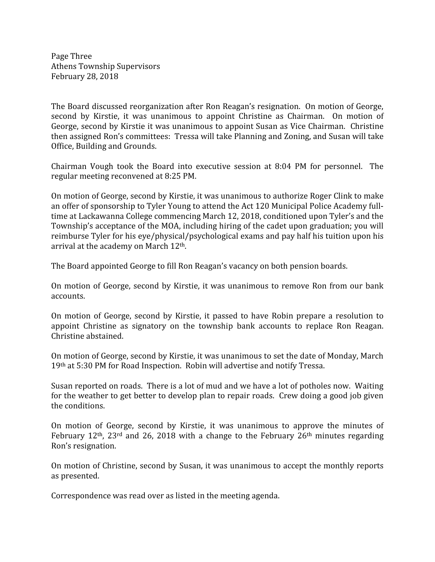Page Three Athens Township Supervisors February 28, 2018

The Board discussed reorganization after Ron Reagan's resignation. On motion of George, second by Kirstie, it was unanimous to appoint Christine as Chairman. On motion of George, second by Kirstie it was unanimous to appoint Susan as Vice Chairman. Christine then assigned Ron's committees: Tressa will take Planning and Zoning, and Susan will take Office, Building and Grounds.

Chairman Vough took the Board into executive session at 8:04 PM for personnel. The regular meeting reconvened at 8:25 PM.

On motion of George, second by Kirstie, it was unanimous to authorize Roger Clink to make an offer of sponsorship to Tyler Young to attend the Act 120 Municipal Police Academy fulltime at Lackawanna College commencing March 12, 2018, conditioned upon Tyler's and the Township's acceptance of the MOA, including hiring of the cadet upon graduation; you will reimburse Tyler for his eye/physical/psychological exams and pay half his tuition upon his arrival at the academy on March 12th.

The Board appointed George to fill Ron Reagan's vacancy on both pension boards.

On motion of George, second by Kirstie, it was unanimous to remove Ron from our bank accounts.

On motion of George, second by Kirstie, it passed to have Robin prepare a resolution to appoint Christine as signatory on the township bank accounts to replace Ron Reagan. Christine abstained.

On motion of George, second by Kirstie, it was unanimous to set the date of Monday, March 19th at 5:30 PM for Road Inspection. Robin will advertise and notify Tressa.

Susan reported on roads. There is a lot of mud and we have a lot of potholes now. Waiting for the weather to get better to develop plan to repair roads. Crew doing a good job given the conditions.

On motion of George, second by Kirstie, it was unanimous to approve the minutes of February 12th, 23rd and 26, 2018 with a change to the February 26th minutes regarding Ron's resignation.

On motion of Christine, second by Susan, it was unanimous to accept the monthly reports as presented.

Correspondence was read over as listed in the meeting agenda.